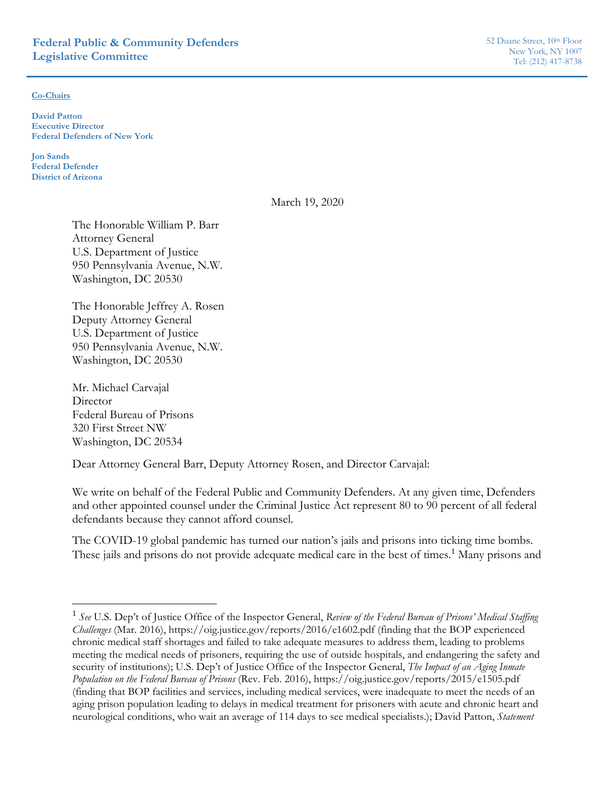#### **Co-Chairs**

**David Patton Executive Director Federal Defenders of New York** 

**Jon Sands Federal Defender District of Arizona** 

March 19, 2020

The Honorable William P. Barr Attorney General U.S. Department of Justice 950 Pennsylvania Avenue, N.W. Washington, DC 20530

The Honorable Jeffrey A. Rosen Deputy Attorney General U.S. Department of Justice 950 Pennsylvania Avenue, N.W. Washington, DC 20530

Mr. Michael Carvajal **Director** Federal Bureau of Prisons 320 First Street NW Washington, DC 20534

Dear Attorney General Barr, Deputy Attorney Rosen, and Director Carvajal:

We write on behalf of the Federal Public and Community Defenders. At any given time, Defenders and other appointed counsel under the Criminal Justice Act represent 80 to 90 percent of all federal defendants because they cannot afford counsel.

The COVID-19 global pandemic has turned our nation's jails and prisons into ticking time bombs. These jails and prisons do not provide adequate medical care in the best of times.<sup>1</sup> Many prisons and

<sup>1</sup> *See* U.S. Dep't of Justice Office of the Inspector General, *Review of the Federal Bureau of Prisons' Medical Staffing Challenges* (Mar. 2016), https://oig.justice.gov/reports/2016/e1602.pdf (finding that the BOP experienced chronic medical staff shortages and failed to take adequate measures to address them, leading to problems meeting the medical needs of prisoners, requiring the use of outside hospitals, and endangering the safety and security of institutions); U.S. Dep't of Justice Office of the Inspector General, *The Impact of an Aging Inmate Population on the Federal Bureau of Prisons* (Rev. Feb. 2016), https://oig.justice.gov/reports/2015/e1505.pdf (finding that BOP facilities and services, including medical services, were inadequate to meet the needs of an aging prison population leading to delays in medical treatment for prisoners with acute and chronic heart and neurological conditions, who wait an average of 114 days to see medical specialists.); David Patton, *Statement*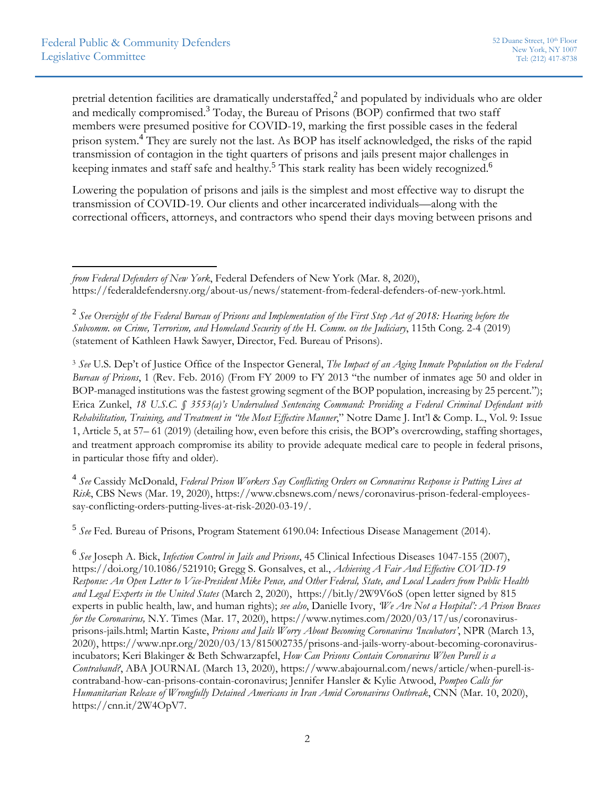pretrial detention facilities are dramatically understaffed,<sup>2</sup> and populated by individuals who are older and medically compromised.<sup>3</sup> Today, the Bureau of Prisons (BOP) confirmed that two staff members were presumed positive for COVID-19, marking the first possible cases in the federal prison system.<sup>4</sup> They are surely not the last. As BOP has itself acknowledged, the risks of the rapid transmission of contagion in the tight quarters of prisons and jails present major challenges in keeping inmates and staff safe and healthy.<sup>5</sup> This stark reality has been widely recognized.<sup>6</sup>

Lowering the population of prisons and jails is the simplest and most effective way to disrupt the transmission of COVID-19. Our clients and other incarcerated individuals—along with the correctional officers, attorneys, and contractors who spend their days moving between prisons and

<sup>3</sup> *See* U.S. Dep't of Justice Office of the Inspector General, *The Impact of an Aging Inmate Population on the Federal Bureau of Prisons*, 1 (Rev. Feb. 2016) (From FY 2009 to FY 2013 "the number of inmates age 50 and older in BOP-managed institutions was the fastest growing segment of the BOP population, increasing by 25 percent."); Erica Zunkel, *18 U.S.C. § 3553(a)'s Undervalued Sentencing Command: Providing a Federal Criminal Defendant with Rehabilitation, Training, and Treatment in "the Most Effective Manner*," Notre Dame J. Int'l & Comp. L., Vol. 9: Issue 1, Article 5, at 57– 61 (2019) (detailing how, even before this crisis, the BOP's overcrowding, staffing shortages, and treatment approach compromise its ability to provide adequate medical care to people in federal prisons, in particular those fifty and older).

<sup>4</sup> *See* Cassidy McDonald, *Federal Prison Workers Say Conflicting Orders on Coronavirus Response is Putting Lives at Risk*, CBS News (Mar. 19, 2020), https://www.cbsnews.com/news/coronavirus-prison-federal-employeessay-conflicting-orders-putting-lives-at-risk-2020-03-19/.

<sup>5</sup> *See* Fed. Bureau of Prisons, Program Statement 6190.04: Infectious Disease Management (2014).

<sup>6</sup> *See* Joseph A. Bick, *Infection Control in Jails and Prisons*, 45 Clinical Infectious Diseases 1047-155 (2007), https://doi.org/10.1086/521910; Gregg S. Gonsalves, et al., *Achieving A Fair And Effective COVID-19 Response: An Open Letter to Vice-President Mike Pence, and Other Federal, State, and Local Leaders from Public Health and Legal Experts in the United States* (March 2, 2020), https://bit.ly/2W9V6oS (open letter signed by 815 experts in public health, law, and human rights); *see also*, Danielle Ivory, *'We Are Not a Hospital': A Prison Braces for the Coronavirus,* N.Y. Times (Mar. 17, 2020), https://www.nytimes.com/2020/03/17/us/coronavirusprisons-jails.html; Martin Kaste, *Prisons and Jails Worry About Becoming Coronavirus 'Incubators'*, NPR (March 13, 2020), https://www.npr.org/2020/03/13/815002735/prisons-and-jails-worry-about-becoming-coronavirusincubators; Keri Blakinger & Beth Schwarzapfel, *How Can Prisons Contain Coronavirus When Purell is a Contraband?*, ABA JOURNAL (March 13, 2020), https://www.abajournal.com/news/article/when-purell-iscontraband-how-can-prisons-contain-coronavirus; Jennifer Hansler & Kylie Atwood, *Pompeo Calls for Humanitarian Release of Wrongfully Detained Americans in Iran Amid Coronavirus Outbreak*, CNN (Mar. 10, 2020), https://cnn.it/2W4OpV7.

 *from Federal Defenders of New York*, Federal Defenders of New York (Mar. 8, 2020), https://federaldefendersny.org/about-us/news/statement-from-federal-defenders-of-new-york.html.

<sup>2</sup> *See Oversight of the Federal Bureau of Prisons and Implementation of the First Step Act of 2018: Hearing before the Subcomm. on Crime, Terrorism, and Homeland Security of the H. Comm. on the Judiciary*, 115th Cong. 2-4 (2019) (statement of Kathleen Hawk Sawyer, Director, Fed. Bureau of Prisons).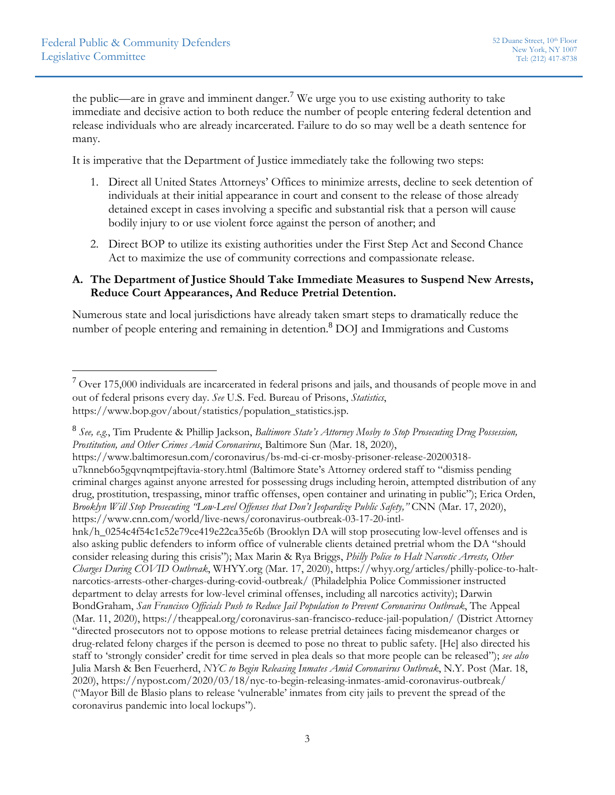the public—are in grave and imminent danger.<sup>7</sup> We urge you to use existing authority to take immediate and decisive action to both reduce the number of people entering federal detention and release individuals who are already incarcerated. Failure to do so may well be a death sentence for many.

It is imperative that the Department of Justice immediately take the following two steps:

- 1. Direct all United States Attorneys' Offices to minimize arrests, decline to seek detention of individuals at their initial appearance in court and consent to the release of those already detained except in cases involving a specific and substantial risk that a person will cause bodily injury to or use violent force against the person of another; and
- 2. Direct BOP to utilize its existing authorities under the First Step Act and Second Chance Act to maximize the use of community corrections and compassionate release.

# **A. The Department of Justice Should Take Immediate Measures to Suspend New Arrests, Reduce Court Appearances, And Reduce Pretrial Detention.**

Numerous state and local jurisdictions have already taken smart steps to dramatically reduce the number of people entering and remaining in detention.<sup>8</sup> DOJ and Immigrations and Customs

<sup>7</sup> Over 175,000 individuals are incarcerated in federal prisons and jails, and thousands of people move in and out of federal prisons every day. *See* U.S. Fed. Bureau of Prisons, *Statistics*, https://www.bop.gov/about/statistics/population\_statistics.jsp.

<sup>8</sup> *See, e.g.*, Tim Prudente & Phillip Jackson, *Baltimore State's Attorney Mosby to Stop Prosecuting Drug Possession, Prostitution, and Other Crimes Amid Coronavirus*, Baltimore Sun (Mar. 18, 2020),

https://www.baltimoresun.com/coronavirus/bs-md-ci-cr-mosby-prisoner-release-20200318 u7knneb6o5gqvnqmtpejftavia-story.html (Baltimore State's Attorney ordered staff to "dismiss pending criminal charges against anyone arrested for possessing drugs including heroin, attempted distribution of any drug, prostitution, trespassing, minor traffic offenses, open container and urinating in public"); Erica Orden, *Brooklyn Will Stop Prosecuting "Low-Level Offenses that Don't Jeopardize Public Safety,"* CNN (Mar. 17, 2020), https://www.cnn.com/world/live-news/coronavirus-outbreak-03-17-20-intl-

hnk/h\_0254c4f54c1c52e79ce419e22ca35e6b (Brooklyn DA will stop prosecuting low-level offenses and is also asking public defenders to inform office of vulnerable clients detained pretrial whom the DA "should consider releasing during this crisis"); Max Marin & Rya Briggs, *Philly Police to Halt Narcotic Arrests, Other Charges During COVID Outbreak*, WHYY.org (Mar. 17, 2020), https://whyy.org/articles/philly-police-to-haltnarcotics-arrests-other-charges-during-covid-outbreak/ (Philadelphia Police Commissioner instructed department to delay arrests for low-level criminal offenses, including all narcotics activity); Darwin BondGraham, *San Francisco Officials Push to Reduce Jail Population to Prevent Coronavirus Outbreak*, The Appeal (Mar. 11, 2020), https://theappeal.org/coronavirus-san-francisco-reduce-jail-population/ (District Attorney "directed prosecutors not to oppose motions to release pretrial detainees facing misdemeanor charges or drug-related felony charges if the person is deemed to pose no threat to public safety. [He] also directed his staff to 'strongly consider' credit for time served in plea deals so that more people can be released"); *see also* Julia Marsh & Ben Feuerherd, *NYC to Begin Releasing Inmates Amid Coronavirus Outbreak*, N.Y. Post (Mar. 18, 2020), https://nypost.com/2020/03/18/nyc-to-begin-releasing-inmates-amid-coronavirus-outbreak/ ("Mayor Bill de Blasio plans to release 'vulnerable' inmates from city jails to prevent the spread of the coronavirus pandemic into local lockups").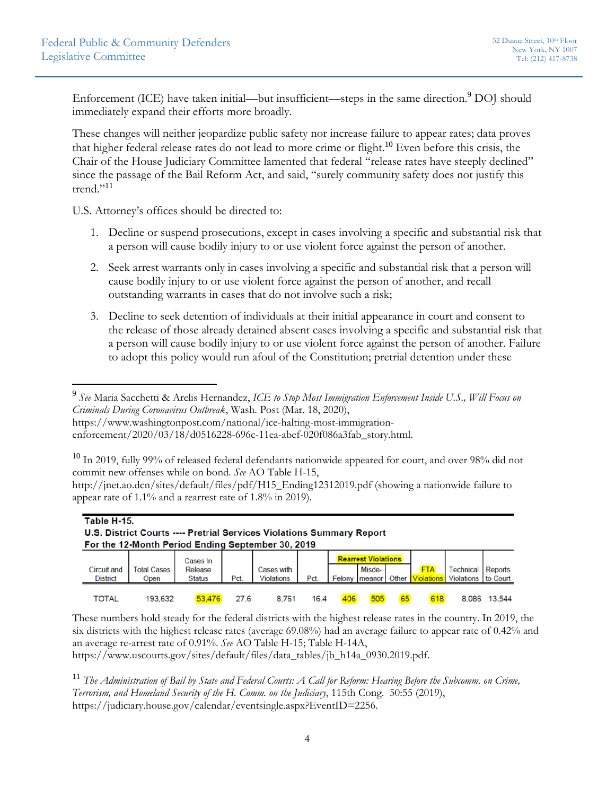Enforcement (ICE) have taken initial—but insufficient—steps in the same direction.<sup>9</sup> DOJ should immediately expand their efforts more broadly.

These changes will neither jeopardize public safety nor increase failure to appear rates; data proves that higher federal release rates do not lead to more crime or flight.<sup>10</sup> Even before this crisis, the Chair of the House Judiciary Committee lamented that federal "release rates have steeply declined" since the passage of the Bail Reform Act, and said, "surely community safety does not justify this trend."<sup>11</sup>

U.S. Attorney's offices should be directed to:

- 1. Decline or suspend prosecutions, except in cases involving a specific and substantial risk that a person will cause bodily injury to or use violent force against the person of another.
- 2. Seek arrest warrants only in cases involving a specific and substantial risk that a person will cause bodily injury to or use violent force against the person of another, and recall outstanding warrants in cases that do not involve such a risk;
- 3. Decline to seek detention of individuals at their initial appearance in court and consent to the release of those already detained absent cases involving a specific and substantial risk that a person will cause bodily injury to or use violent force against the person of another. Failure to adopt this policy would run afoul of the Constitution; pretrial detention under these

 $10$  In 2019, fully 99% of released federal defendants nationwide appeared for court, and over 98% did not commit new offenses while on bond. *See* AO Table H-15,

http://jnet.ao.dcn/sites/default/files/pdf/H15\_Ending12312019.pdf (showing a nationwide failure to appear rate of 1.1% and a rearrest rate of 1.8% in 2019).

| Table H-15.<br>U.S. District Courts ---- Pretrial Services Violations Summary Report<br>For the 12-Month Period Ending September 30, 2019 |                            |                                      |            |                                        |      |     |                                                                |       |                                 |                                                  |                |
|-------------------------------------------------------------------------------------------------------------------------------------------|----------------------------|--------------------------------------|------------|----------------------------------------|------|-----|----------------------------------------------------------------|-------|---------------------------------|--------------------------------------------------|----------------|
| <b>Circuit and</b><br><b>District</b>                                                                                                     | <b>Total Cases</b><br>Open | Cases In<br>Release<br><b>Status</b> | <b>Pct</b> | <b>Cases with</b><br><b>Violations</b> | Pct. |     | <b>Rearrest Violations</b><br>Misde-<br><b>Felony   meanor</b> | Other | <b>FTA</b><br><b>Violations</b> | <b>Technical</b><br><b>Violations I</b> to Court | <b>Reports</b> |
| TOTAL                                                                                                                                     | 193.632                    | 53,476                               | 27.6       | 8.761                                  | 16.4 | 406 | 505                                                            | 65    |                                 | 8.086                                            | 13.544         |

These numbers hold steady for the federal districts with the highest release rates in the country. In 2019, the six districts with the highest release rates (average 69.08%) had an average failure to appear rate of 0.42% and an average re-arrest rate of 0.91%. *See* AO Table H-15; Table H-14A,

https://www.uscourts.gov/sites/default/files/data\_tables/jb\_h14a\_0930.2019.pdf.

<sup>11</sup> *The Administration of Bail by State and Federal Courts: A Call for Reform: Hearing Before the Subcomm. on Crime, Terrorism, and Homeland Security of the H. Comm. on the Judiciary*, 115th Cong. 50:55 (2019), https://judiciary.house.gov/calendar/eventsingle.aspx?EventID=2256.

<sup>9</sup> *See* Maria Sacchetti & Arelis Hernandez, *ICE to Stop Most Immigration Enforcement Inside U.S., Will Focus on Criminals During Coronavirus Outbreak*, Wash. Post (Mar. 18, 2020), https://www.washingtonpost.com/national/ice-halting-most-immigration-

enforcement/2020/03/18/d0516228-696c-11ea-abef-020f086a3fab\_story.html.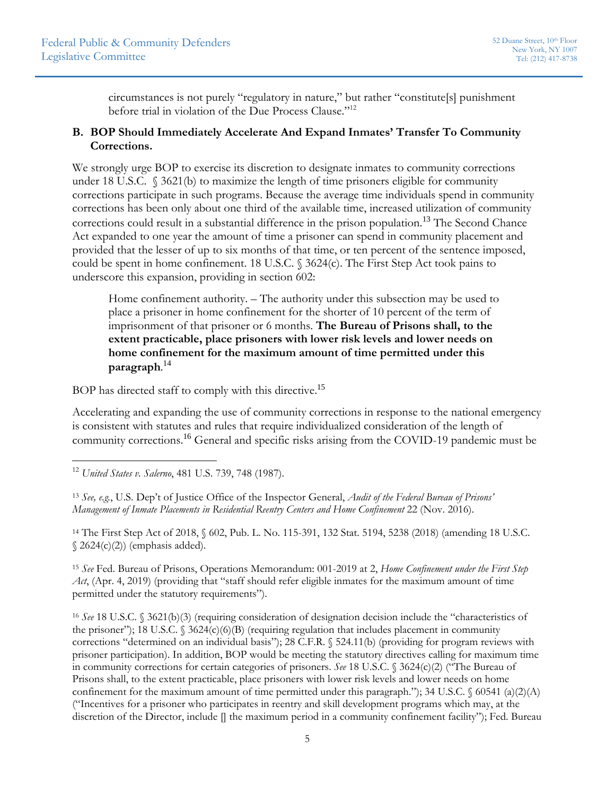circumstances is not purely "regulatory in nature," but rather "constitute[s] punishment before trial in violation of the Due Process Clause."12

# **B. BOP Should Immediately Accelerate And Expand Inmates' Transfer To Community Corrections.**

We strongly urge BOP to exercise its discretion to designate inmates to community corrections under 18 U.S.C. § 3621(b) to maximize the length of time prisoners eligible for community corrections participate in such programs. Because the average time individuals spend in community corrections has been only about one third of the available time, increased utilization of community corrections could result in a substantial difference in the prison population.<sup>13</sup> The Second Chance Act expanded to one year the amount of time a prisoner can spend in community placement and provided that the lesser of up to six months of that time, or ten percent of the sentence imposed, could be spent in home confinement. 18 U.S.C. § 3624(c). The First Step Act took pains to underscore this expansion, providing in section 602:

Home confinement authority. – The authority under this subsection may be used to place a prisoner in home confinement for the shorter of 10 percent of the term of imprisonment of that prisoner or 6 months. **The Bureau of Prisons shall, to the extent practicable, place prisoners with lower risk levels and lower needs on home confinement for the maximum amount of time permitted under this paragraph**. 14

BOP has directed staff to comply with this directive.<sup>15</sup>

Accelerating and expanding the use of community corrections in response to the national emergency is consistent with statutes and rules that require individualized consideration of the length of community corrections.<sup>16</sup> General and specific risks arising from the COVID-19 pandemic must be

14 The First Step Act of 2018, § 602, Pub. L. No. 115-391, 132 Stat. 5194, 5238 (2018) (amending 18 U.S.C.  $\Im$  2624(c)(2)) (emphasis added).

<sup>15</sup> *See* Fed. Bureau of Prisons, Operations Memorandum: 001-2019 at 2, *Home Confinement under the First Step Act*, (Apr. 4, 2019) (providing that "staff should refer eligible inmates for the maximum amount of time permitted under the statutory requirements").

<sup>16</sup> *See* 18 U.S.C. § 3621(b)(3) (requiring consideration of designation decision include the "characteristics of the prisoner"); 18 U.S.C. § 3624(c)(6)(B) (requiring regulation that includes placement in community corrections "determined on an individual basis"); 28 C.F.R. § 524.11(b) (providing for program reviews with prisoner participation). In addition, BOP would be meeting the statutory directives calling for maximum time in community corrections for certain categories of prisoners. *See* 18 U.S.C. § 3624(c)(2) ("The Bureau of Prisons shall, to the extent practicable, place prisoners with lower risk levels and lower needs on home confinement for the maximum amount of time permitted under this paragraph."); 34 U.S.C.  $\delta$  60541 (a)(2)(A) ("Incentives for a prisoner who participates in reentry and skill development programs which may, at the discretion of the Director, include [] the maximum period in a community confinement facility"); Fed. Bureau

<sup>12</sup> *United States v. Salerno*, 481 U.S. 739, 748 (1987).

<sup>13</sup> *See, e.g.*, U.S. Dep't of Justice Office of the Inspector General, *Audit of the Federal Bureau of Prisons' Management of Inmate Placements in Residential Reentry Centers and Home Confinement* 22 (Nov. 2016).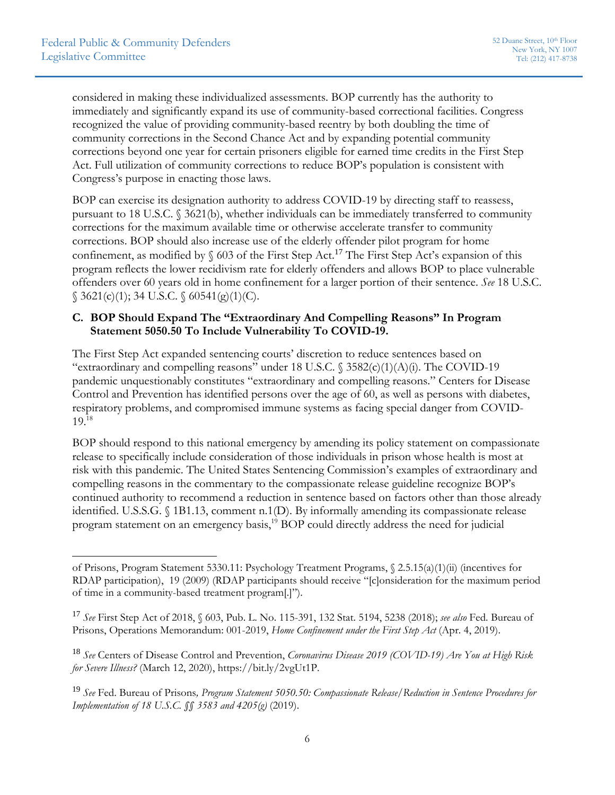considered in making these individualized assessments. BOP currently has the authority to immediately and significantly expand its use of community-based correctional facilities. Congress recognized the value of providing community-based reentry by both doubling the time of community corrections in the Second Chance Act and by expanding potential community corrections beyond one year for certain prisoners eligible for earned time credits in the First Step Act. Full utilization of community corrections to reduce BOP's population is consistent with Congress's purpose in enacting those laws.

BOP can exercise its designation authority to address COVID-19 by directing staff to reassess, pursuant to 18 U.S.C. § 3621(b), whether individuals can be immediately transferred to community corrections for the maximum available time or otherwise accelerate transfer to community corrections. BOP should also increase use of the elderly offender pilot program for home confinement, as modified by  $\S$  603 of the First Step Act.<sup>17</sup> The First Step Act's expansion of this program reflects the lower recidivism rate for elderly offenders and allows BOP to place vulnerable offenders over 60 years old in home confinement for a larger portion of their sentence. *See* 18 U.S.C.  $\S$  3621(c)(1); 34 U.S.C.  $\S$  60541(g)(1)(C).

# **C. BOP Should Expand The "Extraordinary And Compelling Reasons" In Program Statement 5050.50 To Include Vulnerability To COVID-19.**

The First Step Act expanded sentencing courts' discretion to reduce sentences based on "extraordinary and compelling reasons" under 18 U.S.C.  $\S$  3582(c)(1)(A)(i). The COVID-19 pandemic unquestionably constitutes "extraordinary and compelling reasons." Centers for Disease Control and Prevention has identified persons over the age of 60, as well as persons with diabetes, respiratory problems, and compromised immune systems as facing special danger from COVID- $19.18$ 

BOP should respond to this national emergency by amending its policy statement on compassionate release to specifically include consideration of those individuals in prison whose health is most at risk with this pandemic. The United States Sentencing Commission's examples of extraordinary and compelling reasons in the commentary to the compassionate release guideline recognize BOP's continued authority to recommend a reduction in sentence based on factors other than those already identified. U.S.S.G. § 1B1.13, comment n.1(D). By informally amending its compassionate release program statement on an emergency basis,<sup>19</sup> BOP could directly address the need for judicial

of Prisons, Program Statement 5330.11: Psychology Treatment Programs, § 2.5.15(a)(1)(ii) (incentives for RDAP participation), 19 (2009) (RDAP participants should receive "[c]onsideration for the maximum period of time in a community-based treatment program[.]").

<sup>17</sup> *See* First Step Act of 2018, § 603, Pub. L. No. 115-391, 132 Stat. 5194, 5238 (2018); *see also* Fed. Bureau of Prisons, Operations Memorandum: 001-2019, *Home Confinement under the First Step Act* (Apr. 4, 2019).

<sup>18</sup> *See* Centers of Disease Control and Prevention, *Coronavirus Disease 2019 (COVID-19) Are You at High Risk for Severe Illness?* (March 12, 2020), https://bit.ly/2vgUt1P.

<sup>19</sup> *See* Fed. Bureau of Prisons*, Program Statement 5050.50: Compassionate Release/Reduction in Sentence Procedures for Implementation of 18 U.S.C. §§ 3583 and 4205(g)* (2019).